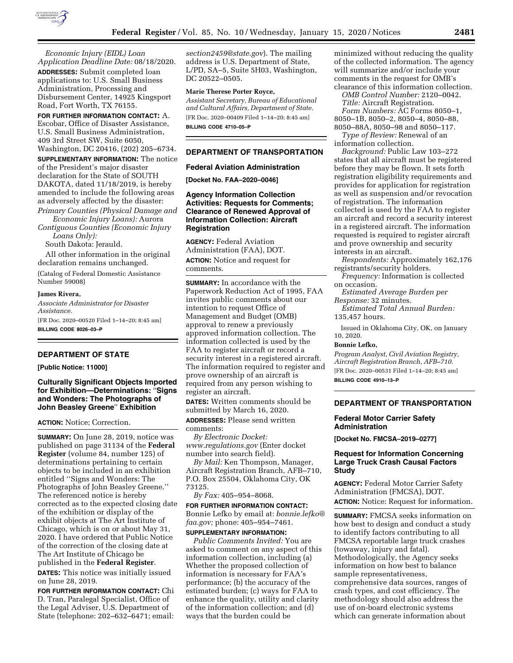

*Economic Injury (EIDL) Loan Application Deadline Date:* 08/18/2020. **ADDRESSES:** Submit completed loan applications to: U.S. Small Business Administration, Processing and Disbursement Center, 14925 Kingsport Road, Fort Worth, TX 76155.

**FOR FURTHER INFORMATION CONTACT:** A. Escobar, Office of Disaster Assistance, U.S. Small Business Administration, 409 3rd Street SW, Suite 6050, Washington, DC 20416, (202) 205–6734.

**SUPPLEMENTARY INFORMATION:** The notice of the President's major disaster declaration for the State of SOUTH DAKOTA, dated 11/18/2019, is hereby amended to include the following areas as adversely affected by the disaster:

*Primary Counties (Physical Damage and Economic Injury Loans):* Aurora *Contiguous Counties (Economic Injury* 

*Loans Only):* 

South Dakota: Jerauld.

All other information in the original declaration remains unchanged.

(Catalog of Federal Domestic Assistance Number 59008)

## **James Rivera,**

*Associate Administrator for Disaster Assistance.*  [FR Doc. 2020–00520 Filed 1–14–20; 8:45 am]

**BILLING CODE 8026–03–P** 

## **DEPARTMENT OF STATE**

### **[Public Notice: 11000]**

**Culturally Significant Objects Imported for Exhibition—Determinations:** ''**Signs and Wonders: The Photographs of John Beasley Greene**'' **Exhibition** 

### **ACTION:** Notice; Correction.

**SUMMARY:** On June 28, 2019, notice was published on page 31134 of the **Federal Register** (volume 84, number 125) of determinations pertaining to certain objects to be included in an exhibition entitled ''Signs and Wonders: The Photographs of John Beasley Greene.'' The referenced notice is hereby corrected as to the expected closing date of the exhibition or display of the exhibit objects at The Art Institute of Chicago, which is on or about May 31, 2020. I have ordered that Public Notice of the correction of the closing date at The Art Institute of Chicago be published in the **Federal Register**.

**DATES:** This notice was initially issued on June 28, 2019.

**FOR FURTHER INFORMATION CONTACT:** Chi D. Tran, Paralegal Specialist, Office of the Legal Adviser, U.S. Department of State (telephone: 202–632–6471; email:

*[section2459@state.gov](mailto:section2459@state.gov)*). The mailing address is U.S. Department of State, L/PD, SA–5, Suite 5H03, Washington, DC 20522–0505.

### **Marie Therese Porter Royce,**

*Assistant Secretary, Bureau of Educational and Cultural Affairs, Department of State.*  [FR Doc. 2020–00409 Filed 1–14–20; 8:45 am] **BILLING CODE 4710–05–P** 

## **DEPARTMENT OF TRANSPORTATION**

### **Federal Aviation Administration**

**[Docket No. FAA–2020–0046]** 

**Agency Information Collection Activities: Requests for Comments; Clearance of Renewed Approval of Information Collection: Aircraft Registration** 

**AGENCY:** Federal Aviation Administration (FAA), DOT. **ACTION:** Notice and request for comments.

**SUMMARY:** In accordance with the Paperwork Reduction Act of 1995, FAA invites public comments about our intention to request Office of Management and Budget (OMB) approval to renew a previously approved information collection. The information collected is used by the FAA to register aircraft or record a security interest in a registered aircraft. The information required to register and prove ownership of an aircraft is required from any person wishing to register an aircraft.

**DATES:** Written comments should be submitted by March 16, 2020.

**ADDRESSES:** Please send written comments:

*By Electronic Docket: [www.regulations.gov](http://www.regulations.gov)* (Enter docket number into search field).

*By Mail:* Ken Thompson, Manager, Aircraft Registration Branch, AFB–710, P.O. Box 25504, Oklahoma City, OK 73125.

*By Fax:* 405–954–8068.

**FOR FURTHER INFORMATION CONTACT:**  Bonnie Lefko by email at: *[bonnie.lefko@](mailto:bonnie.lefko@faa.gov) [faa.gov;](mailto:bonnie.lefko@faa.gov)* phone: 405–954–7461.

# **SUPPLEMENTARY INFORMATION:**

*Public Comments Invited:* You are asked to comment on any aspect of this information collection, including (a) Whether the proposed collection of information is necessary for FAA's performance; (b) the accuracy of the estimated burden; (c) ways for FAA to enhance the quality, utility and clarity of the information collection; and (d) ways that the burden could be

minimized without reducing the quality of the collected information. The agency will summarize and/or include your comments in the request for OMB's clearance of this information collection.

*OMB Control Number:* 2120–0042. *Title:* Aircraft Registration. *Form Numbers:* AC Forms 8050–1, 8050–1B, 8050–2, 8050–4, 8050–88,

8050–88A, 8050–98 and 8050–117. *Type of Review:* Renewal of an

information collection.

*Background:* Public Law 103–272 states that all aircraft must be registered before they may be flown. It sets forth registration eligibility requirements and provides for application for registration as well as suspension and/or revocation of registration. The information collected is used by the FAA to register an aircraft and record a security interest in a registered aircraft. The information requested is required to register aircraft and prove ownership and security interests in an aircraft.

*Respondents:* Approximately 162,176 registrants/security holders.

*Frequency:* Information is collected on occasion.

*Estimated Average Burden per Response:* 32 minutes.

*Estimated Total Annual Burden:*  135,457 hours.

Issued in Oklahoma City, OK, on January 10, 2020.

## **Bonnie Lefko,**

*Program Analyst, Civil Aviation Registry, Aircraft Registration Branch, AFB–710.*  [FR Doc. 2020–00531 Filed 1–14–20; 8:45 am]

**BILLING CODE 4910–13–P** 

### **DEPARTMENT OF TRANSPORTATION**

## **Federal Motor Carrier Safety Administration**

**[Docket No. FMCSA–2019–0277]** 

# **Request for Information Concerning Large Truck Crash Causal Factors Study**

**AGENCY:** Federal Motor Carrier Safety Administration (FMCSA), DOT. **ACTION:** Notice: Request for information.

**SUMMARY:** FMCSA seeks information on how best to design and conduct a study to identify factors contributing to all FMCSA reportable large truck crashes (towaway, injury and fatal). Methodologically, the Agency seeks information on how best to balance sample representativeness, comprehensive data sources, ranges of crash types, and cost efficiency. The methodology should also address the use of on-board electronic systems which can generate information about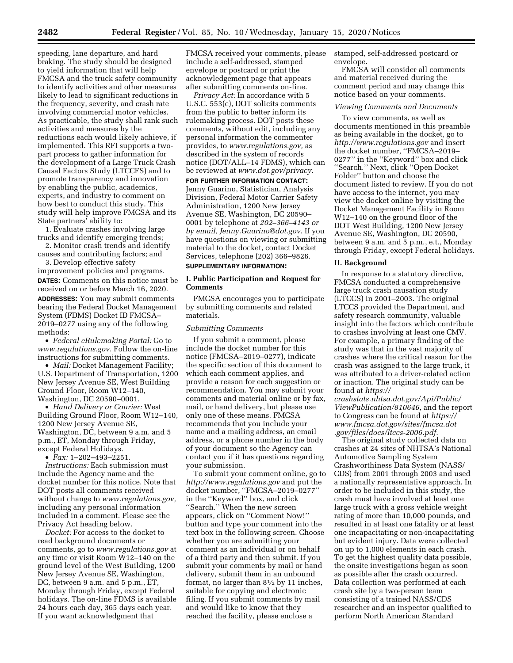speeding, lane departure, and hard braking. The study should be designed to yield information that will help FMCSA and the truck safety community to identify activities and other measures likely to lead to significant reductions in the frequency, severity, and crash rate involving commercial motor vehicles. As practicable, the study shall rank such activities and measures by the reductions each would likely achieve, if implemented. This RFI supports a twopart process to gather information for the development of a Large Truck Crash Causal Factors Study (LTCCFS) and to promote transparency and innovation by enabling the public, academics, experts, and industry to comment on how best to conduct this study. This study will help improve FMCSA and its State partners' ability to:

1. Evaluate crashes involving large trucks and identify emerging trends; 2. Monitor crash trends and identify

causes and contributing factors; and

3. Develop effective safety improvement policies and programs. **DATES:** Comments on this notice must be received on or before March 16, 2020. **ADDRESSES:** You may submit comments bearing the Federal Docket Management System (FDMS) Docket ID FMCSA– 2019–0277 using any of the following methods:

• *Federal eRulemaking Portal:* Go to *[www.regulations.gov.](http://www.regulations.gov)* Follow the on-line instructions for submitting comments.

• *Mail:* Docket Management Facility; U.S. Department of Transportation, 1200 New Jersey Avenue SE, West Building Ground Floor, Room W12–140, Washington, DC 20590–0001.

• *Hand Delivery or Courier:* West Building Ground Floor, Room W12–140, 1200 New Jersey Avenue SE, Washington, DC, between 9 a.m. and 5 p.m., ET, Monday through Friday, except Federal Holidays.

• *Fax:* 1–202–493–2251.

*Instructions:* Each submission must include the Agency name and the docket number for this notice. Note that DOT posts all comments received without change to *[www.regulations.gov,](http://www.regulations.gov)*  including any personal information included in a comment. Please see the Privacy Act heading below.

*Docket:* For access to the docket to read background documents or comments, go to *[www.regulations.gov](http://www.regulations.gov)* at any time or visit Room W12–140 on the ground level of the West Building, 1200 New Jersey Avenue SE, Washington, DC, between 9 a.m. and 5 p.m., ET, Monday through Friday, except Federal holidays. The on-line FDMS is available 24 hours each day, 365 days each year. If you want acknowledgment that

FMCSA received your comments, please include a self-addressed, stamped envelope or postcard or print the acknowledgement page that appears after submitting comments on-line.

*Privacy Act:* In accordance with 5 U.S.C. 553(c), DOT solicits comments from the public to better inform its rulemaking process. DOT posts these comments, without edit, including any personal information the commenter provides, to *[www.regulations.gov,](http://www.regulations.gov)* as described in the system of records notice (DOT/ALL–14 FDMS), which can be reviewed at *[www.dot.gov/privacy.](http://www.dot.gov/privacy)* 

**FOR FURTHER INFORMATION CONTACT:**  Jenny Guarino, Statistician, Analysis Division, Federal Motor Carrier Safety Administration, 1200 New Jersey Avenue SE, Washington, DC 20590– 0001 by telephone at *202–366–4143 or by email, [Jenny.Guarino@dot.gov.](mailto:Jenny.Guarino@dot.gov)* If you have questions on viewing or submitting material to the docket, contact Docket Services, telephone (202) 366–9826.

# **SUPPLEMENTARY INFORMATION:**

## **I. Public Participation and Request for Comments**

FMCSA encourages you to participate by submitting comments and related materials.

### *Submitting Comments*

If you submit a comment, please include the docket number for this notice (FMCSA–2019–0277), indicate the specific section of this document to which each comment applies, and provide a reason for each suggestion or recommendation. You may submit your comments and material online or by fax, mail, or hand delivery, but please use only one of these means. FMCSA recommends that you include your name and a mailing address, an email address, or a phone number in the body of your document so the Agency can contact you if it has questions regarding your submission.

To submit your comment online, go to *<http://www.regulations.gov>* and put the docket number, ''FMCSA–2019–0277'' in the ''Keyword'' box, and click ''Search.'' When the new screen appears, click on ''Comment Now!'' button and type your comment into the text box in the following screen. Choose whether you are submitting your comment as an individual or on behalf of a third party and then submit. If you submit your comments by mail or hand delivery, submit them in an unbound format, no larger than 81⁄2 by 11 inches, suitable for copying and electronic filing. If you submit comments by mail and would like to know that they reached the facility, please enclose a

stamped, self-addressed postcard or envelope.

FMCSA will consider all comments and material received during the comment period and may change this notice based on your comments.

### *Viewing Comments and Documents*

To view comments, as well as documents mentioned in this preamble as being available in the docket, go to *<http://www.regulations.gov>* and insert the docket number, ''FMCSA–2019– 0277'' in the ''Keyword'' box and click ''Search.'' Next, click ''Open Docket Folder'' button and choose the document listed to review. If you do not have access to the internet, you may view the docket online by visiting the Docket Management Facility in Room W12–140 on the ground floor of the DOT West Building, 1200 New Jersey Avenue SE, Washington, DC 20590, between 9 a.m. and 5 p.m., e.t., Monday through Friday, except Federal holidays.

### **II. Background**

In response to a statutory directive, FMCSA conducted a comprehensive large truck crash causation study (LTCCS) in 2001–2003. The original LTCCS provided the Department, and safety research community, valuable insight into the factors which contribute to crashes involving at least one CMV. For example, a primary finding of the study was that in the vast majority of crashes where the critical reason for the crash was assigned to the large truck, it was attributed to a driver-related action or inaction. The original study can be found at *[https://](https://crashstats.nhtsa.dot.gov/Api/Public/ViewPublication/810646)*

*[crashstats.nhtsa.dot.gov/Api/Public/](https://crashstats.nhtsa.dot.gov/Api/Public/ViewPublication/810646)  [ViewPublication/810646,](https://crashstats.nhtsa.dot.gov/Api/Public/ViewPublication/810646)* and the report to Congress can be found at *[https://](https://www.fmcsa.dot.gov/sites/fmcsa.dot.gov/files/docs/ltccs-2006.pdf) [www.fmcsa.dot.gov/sites/fmcsa.dot](https://www.fmcsa.dot.gov/sites/fmcsa.dot.gov/files/docs/ltccs-2006.pdf)  [.gov/files/docs/ltccs-2006.pdf.](https://www.fmcsa.dot.gov/sites/fmcsa.dot.gov/files/docs/ltccs-2006.pdf)* 

The original study collected data on crashes at 24 sites of NHTSA's National Automotive Sampling System Crashworthiness Data System (NASS/ CDS) from 2001 through 2003 and used a nationally representative approach. In order to be included in this study, the crash must have involved at least one large truck with a gross vehicle weight rating of more than 10,000 pounds, and resulted in at least one fatality or at least one incapacitating or non-incapacitating but evident injury. Data were collected on up to 1,000 elements in each crash. To get the highest quality data possible, the onsite investigations began as soon as possible after the crash occurred. Data collection was performed at each crash site by a two-person team consisting of a trained NASS/CDS researcher and an inspector qualified to perform North American Standard